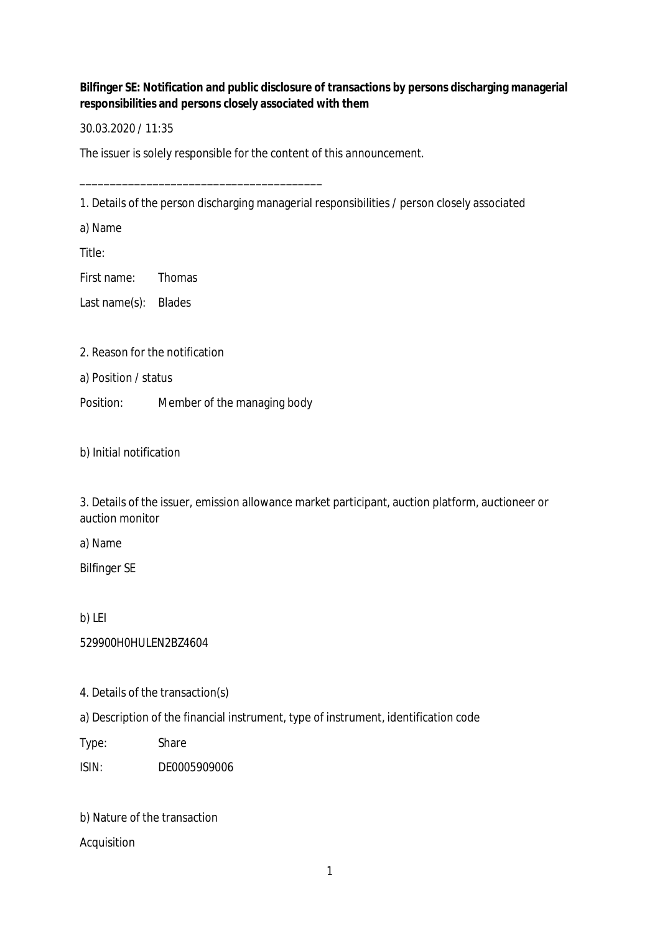**Bilfinger SE: Notification and public disclosure of transactions by persons discharging managerial responsibilities and persons closely associated with them**

30.03.2020 / 11:35

The issuer is solely responsible for the content of this announcement.

1. Details of the person discharging managerial responsibilities / person closely associated

a) Name

Title:

First name: Thomas

Last name(s): Blades

2. Reason for the notification

a) Position / status

Position: Member of the managing body

\_\_\_\_\_\_\_\_\_\_\_\_\_\_\_\_\_\_\_\_\_\_\_\_\_\_\_\_\_\_\_\_\_\_\_\_\_\_\_\_

b) Initial notification

3. Details of the issuer, emission allowance market participant, auction platform, auctioneer or auction monitor

a) Name

Bilfinger SE

b) LEI

529900H0HULEN2BZ4604

4. Details of the transaction(s)

a) Description of the financial instrument, type of instrument, identification code

Type: Share

ISIN: DE0005909006

b) Nature of the transaction

Acquisition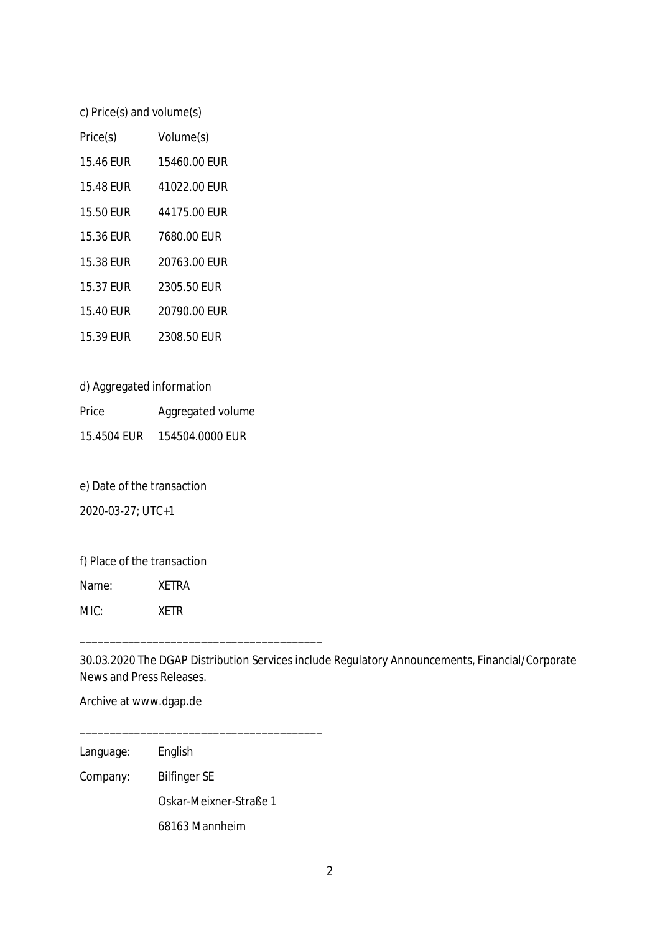c) Price(s) and volume(s)

| Price(s)  | Volume(s)    |
|-----------|--------------|
| 15.46 FUR | 15460.00 FUR |
| 15.48 EUR | 41022.00 EUR |
| 15.50 FUR | 44175.00 FUR |
| 15.36 EUR | 7680.00 EUR  |
| 15.38 EUR | 20763.00 FUR |
| 15.37 EUR | 2305.50 EUR  |
| 15.40 EUR | 20790.00 EUR |
| 15.39 FUR | 2308.50 FUR  |

d) Aggregated information

Price Aggregated volume 15.4504 EUR 154504.0000 EUR

e) Date of the transaction

2020-03-27; UTC+1

f) Place of the transaction

Name: XETRA

MIC: XETR

30.03.2020 The DGAP Distribution Services include Regulatory Announcements, Financial/Corporate News and Press Releases.

Archive at www.dgap.de

Language: English

Company: Bilfinger SE

Oskar-Meixner-Straße 1

68163 Mannheim

\_\_\_\_\_\_\_\_\_\_\_\_\_\_\_\_\_\_\_\_\_\_\_\_\_\_\_\_\_\_\_\_\_\_\_\_\_\_\_\_

\_\_\_\_\_\_\_\_\_\_\_\_\_\_\_\_\_\_\_\_\_\_\_\_\_\_\_\_\_\_\_\_\_\_\_\_\_\_\_\_